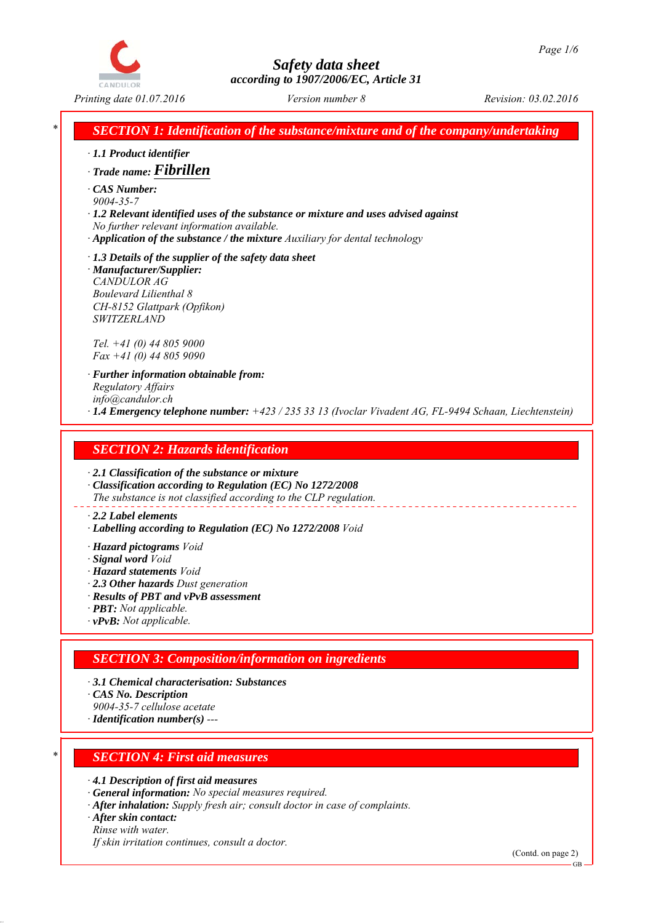

*Printing date 01.07.2016 Revision: 03.02.2016 Version number 8*

*SECTION 1: Identification of the substance/mixture and of the company/undertaking* 

- *∙ 1.1 Product identifier*
- *∙ Trade name: Fibrillen*
- *∙ CAS Number: 9004-35-7*
- *∙ 1.2 Relevant identified uses of the substance or mixture and uses advised against No further relevant information available.*
- *∙ Application of the substance / the mixture Auxiliary for dental technology*

*∙ 1.3 Details of the supplier of the safety data sheet ∙ Manufacturer/Supplier: CANDULOR AG Boulevard Lilienthal 8 CH-8152 Glattpark (Opfikon) SWITZERLAND*

*Tel. +41 (0) 44 805 9000 Fax +41 (0) 44 805 9090*

- *∙ Further information obtainable from: Regulatory Affairs info@candulor.ch*
- *∙ 1.4 Emergency telephone number: +423 / 235 33 13 (Ivoclar Vivadent AG, FL-9494 Schaan, Liechtenstein)*

## *SECTION 2: Hazards identification*

*∙ 2.1 Classification of the substance or mixture*

*∙ Classification according to Regulation (EC) No 1272/2008 The substance is not classified according to the CLP regulation.*

#### *∙ 2.2 Label elements*

- *∙ Labelling according to Regulation (EC) No 1272/2008 Void*
- *∙ Hazard pictograms Void*
- *∙ Signal word Void*
- *∙ Hazard statements Void*
- *∙ 2.3 Other hazards Dust generation*
- *∙ Results of PBT and vPvB assessment*
- *∙ PBT: Not applicable.*
- *∙ vPvB: Not applicable.*

# *SECTION 3: Composition/information on ingredients*

- *∙ 3.1 Chemical characterisation: Substances*
- *∙ CAS No. Description*
- *9004-35-7 cellulose acetate*
- *∙ Identification number(s) ---*

# *\* SECTION 4: First aid measures*

*∙ 4.1 Description of first aid measures*

- *∙ General information: No special measures required.*
- *∙ After inhalation: Supply fresh air; consult doctor in case of complaints.*
- *∙ After skin contact:*
- *Rinse with water.*

*If skin irritation continues, consult a doctor.*

(Contd. on page 2)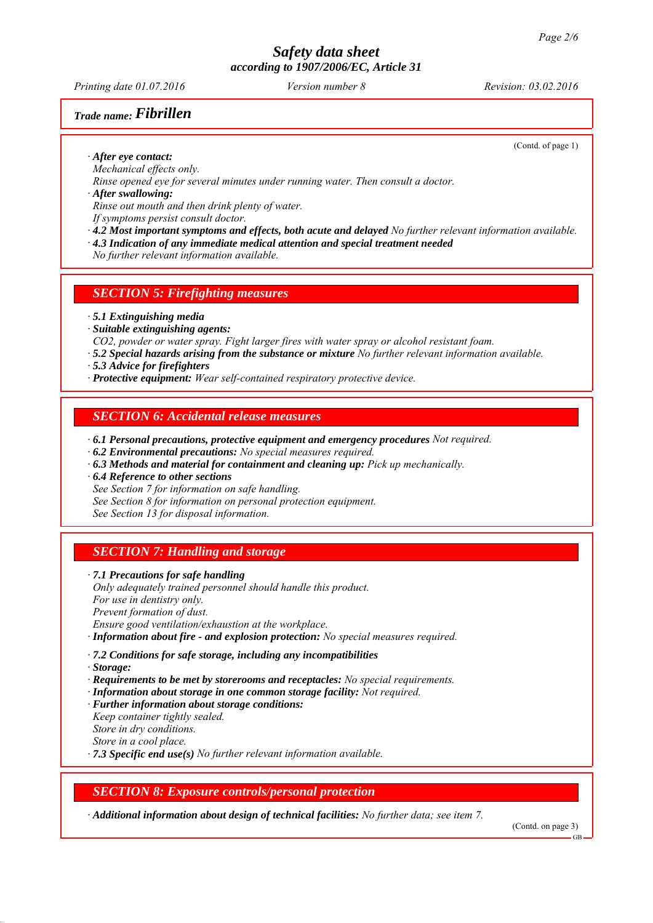*Printing date 01.07.2016 Revision: 03.02.2016 Version number 8*

#### *Trade name: Fibrillen*

(Contd. of page 1)

*∙ After eye contact:*

*Mechanical effects only.*

*Rinse opened eye for several minutes under running water. Then consult a doctor.*

*∙ After swallowing:*

*Rinse out mouth and then drink plenty of water.*

*If symptoms persist consult doctor.*

- *∙ 4.2 Most important symptoms and effects, both acute and delayed No further relevant information available.*
- *∙ 4.3 Indication of any immediate medical attention and special treatment needed*

*No further relevant information available.*

*SECTION 5: Firefighting measures*

*∙ 5.1 Extinguishing media*

- *∙ Suitable extinguishing agents:*
- *CO2, powder or water spray. Fight larger fires with water spray or alcohol resistant foam.*
- *∙ 5.2 Special hazards arising from the substance or mixture No further relevant information available.*
- *∙ 5.3 Advice for firefighters*
- *∙ Protective equipment: Wear self-contained respiratory protective device.*

#### *SECTION 6: Accidental release measures*

- *∙ 6.1 Personal precautions, protective equipment and emergency procedures Not required.*
- *∙ 6.2 Environmental precautions: No special measures required.*
- *∙ 6.3 Methods and material for containment and cleaning up: Pick up mechanically.*
- *∙ 6.4 Reference to other sections*

*See Section 7 for information on safe handling.*

*See Section 8 for information on personal protection equipment.*

*See Section 13 for disposal information.*

# *SECTION 7: Handling and storage*

*∙ 7.1 Precautions for safe handling Only adequately trained personnel should handle this product.*

*For use in dentistry only.*

*Prevent formation of dust.*

*Ensure good ventilation/exhaustion at the workplace.*

*∙ Information about fire - and explosion protection: No special measures required.*

*∙ 7.2 Conditions for safe storage, including any incompatibilities*

*∙ Storage:*

- *∙ Requirements to be met by storerooms and receptacles: No special requirements.*
- *∙ Information about storage in one common storage facility: Not required.*
- *∙ Further information about storage conditions:*
- *Keep container tightly sealed. Store in dry conditions.*
- *Store in a cool place.*

*∙ 7.3 Specific end use(s) No further relevant information available.*

## *SECTION 8: Exposure controls/personal protection*

*∙ Additional information about design of technical facilities: No further data; see item 7.*

(Contd. on page 3)

GB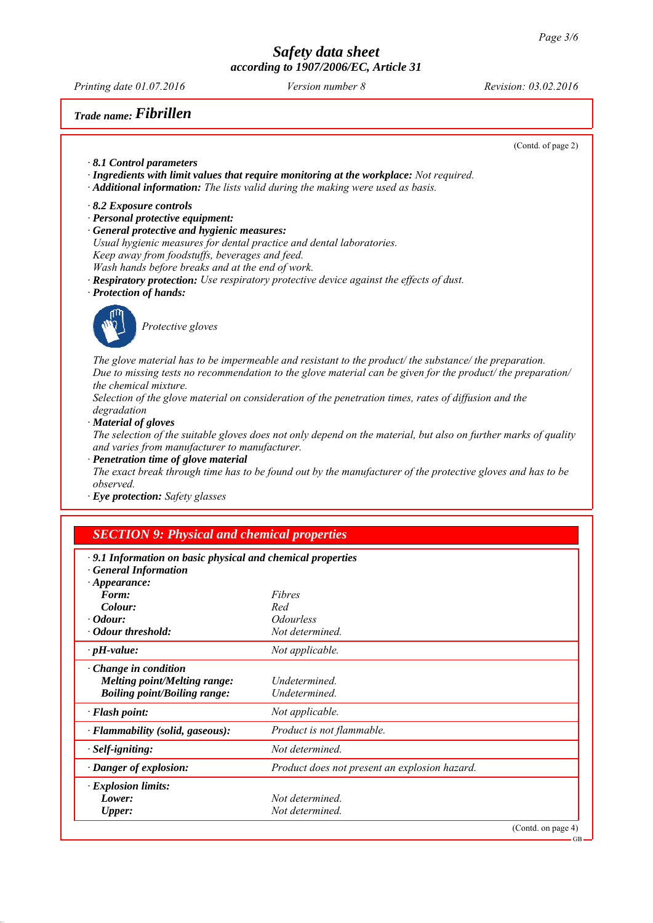*Printing date 01.07.2016 Revision: 03.02.2016 Version number 8*

*Trade name: Fibrillen*

(Contd. of page 2)

*∙ 8.1 Control parameters*

- *∙ Ingredients with limit values that require monitoring at the workplace: Not required.*
- *∙ Additional information: The lists valid during the making were used as basis.*
- *∙ 8.2 Exposure controls*
- *∙ Personal protective equipment:*
- *∙ General protective and hygienic measures:*
- *Usual hygienic measures for dental practice and dental laboratories. Keep away from foodstuffs, beverages and feed.*
- *Wash hands before breaks and at the end of work.*
- *∙ Respiratory protection: Use respiratory protective device against the effects of dust.*
- *∙ Protection of hands:*



*Protective gloves*

*The glove material has to be impermeable and resistant to the product/ the substance/ the preparation. Due to missing tests no recommendation to the glove material can be given for the product/ the preparation/ the chemical mixture.*

*Selection of the glove material on consideration of the penetration times, rates of diffusion and the degradation*

*∙ Material of gloves*

*The selection of the suitable gloves does not only depend on the material, but also on further marks of quality and varies from manufacturer to manufacturer.*

*∙ Penetration time of glove material*

*The exact break through time has to be found out by the manufacturer of the protective gloves and has to be observed.*

*∙ Eye protection: Safety glasses*

# *SECTION 9: Physical and chemical properties*

| · 9.1 Information on basic physical and chemical properties<br><b>General Information</b>                 |                                               |                    |
|-----------------------------------------------------------------------------------------------------------|-----------------------------------------------|--------------------|
| $\cdot$ Appearance:                                                                                       |                                               |                    |
| Form:                                                                                                     | Fibres                                        |                    |
| Colour:                                                                                                   | Red                                           |                    |
| $\cdot$ <i>Odour:</i>                                                                                     | <i><b>Odourless</b></i>                       |                    |
| • Odour threshold:                                                                                        | Not determined.                               |                    |
| $\cdot$ pH-value:                                                                                         | Not applicable.                               |                    |
| $\cdot$ Change in condition<br><b>Melting point/Melting range:</b><br><b>Boiling point/Boiling range:</b> | Undetermined.<br>Undetermined.                |                    |
| $\cdot$ Flash point:                                                                                      | Not applicable.                               |                    |
| · Flammability (solid, gaseous):                                                                          | Product is not flammable.                     |                    |
| $\cdot$ Self-igniting:                                                                                    | Not determined.                               |                    |
| · Danger of explosion:                                                                                    | Product does not present an explosion hazard. |                    |
| $\cdot$ Explosion limits:                                                                                 |                                               |                    |
| Lower:                                                                                                    | Not determined.                               |                    |
| <b>Upper:</b>                                                                                             | Not determined.                               |                    |
|                                                                                                           |                                               | (Contd. on page 4) |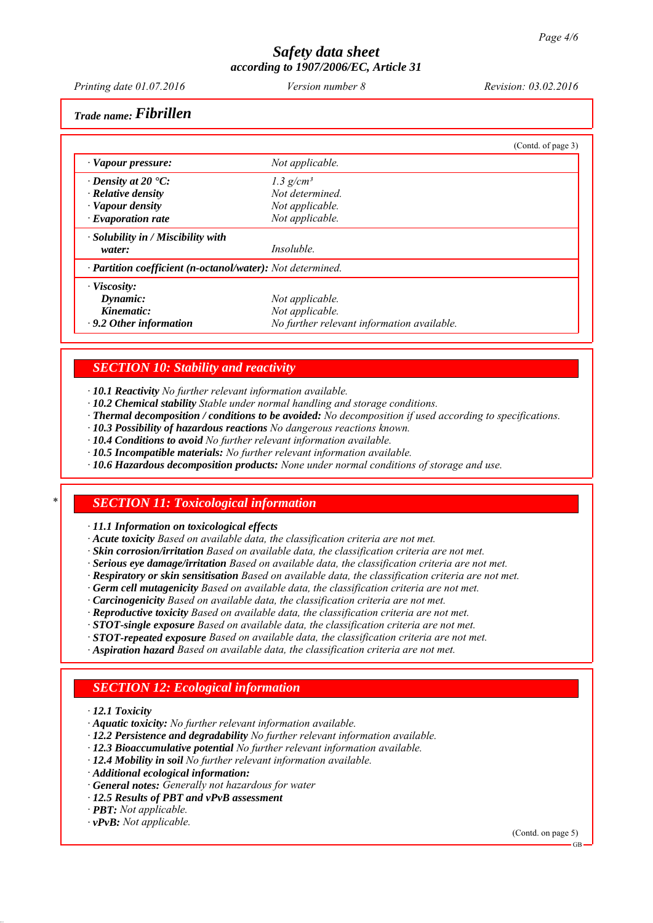*Printing date 01.07.2016 Revision: 03.02.2016 Version number 8*

*Trade name: Fibrillen*

|                                                            |                                            | (Contd. of page 3) |
|------------------------------------------------------------|--------------------------------------------|--------------------|
| · Vapour pressure:                                         | Not applicable.                            |                    |
| $\cdot$ Density at 20 $\cdot$ C:                           | $1.3$ g/cm <sup>3</sup>                    |                    |
| $\cdot$ Relative density                                   | Not determined.                            |                    |
| · Vapour density                                           | Not applicable.                            |                    |
| $\cdot$ Evaporation rate                                   | Not applicable.                            |                    |
| $\cdot$ Solubility in / Miscibility with                   |                                            |                    |
| water:                                                     | <i>Insoluble.</i>                          |                    |
| · Partition coefficient (n-octanol/water): Not determined. |                                            |                    |
| $\cdot$ Viscosity:                                         |                                            |                    |
| Dynamic:                                                   | Not applicable.                            |                    |
| Kinematic:                                                 | Not applicable.                            |                    |
| $\cdot$ 9.2 Other information                              | No further relevant information available. |                    |

#### *SECTION 10: Stability and reactivity*

*∙ 10.1 Reactivity No further relevant information available.*

- *∙ 10.2 Chemical stability Stable under normal handling and storage conditions.*
- *∙ Thermal decomposition / conditions to be avoided: No decomposition if used according to specifications.*
- *∙ 10.3 Possibility of hazardous reactions No dangerous reactions known.*
- *∙ 10.4 Conditions to avoid No further relevant information available.*
- *∙ 10.5 Incompatible materials: No further relevant information available.*
- *∙ 10.6 Hazardous decomposition products: None under normal conditions of storage and use.*

#### *\* SECTION 11: Toxicological information*

*∙ 11.1 Information on toxicological effects*

- *∙ Acute toxicity Based on available data, the classification criteria are not met.*
- *∙ Skin corrosion/irritation Based on available data, the classification criteria are not met.*
- *∙ Serious eye damage/irritation Based on available data, the classification criteria are not met.*
- *∙ Respiratory or skin sensitisation Based on available data, the classification criteria are not met.*
- *∙ Germ cell mutagenicity Based on available data, the classification criteria are not met.*
- *∙ Carcinogenicity Based on available data, the classification criteria are not met.*
- *∙ Reproductive toxicity Based on available data, the classification criteria are not met.*
- *∙ STOT-single exposure Based on available data, the classification criteria are not met.*
- *∙ STOT-repeated exposure Based on available data, the classification criteria are not met.*
- *∙ Aspiration hazard Based on available data, the classification criteria are not met.*

# *SECTION 12: Ecological information*

- *∙ 12.1 Toxicity*
- *∙ Aquatic toxicity: No further relevant information available.*
- *∙ 12.2 Persistence and degradability No further relevant information available.*
- *∙ 12.3 Bioaccumulative potential No further relevant information available.*
- *∙ 12.4 Mobility in soil No further relevant information available.*
- *∙ Additional ecological information:*
- *∙ General notes: Generally not hazardous for water*
- *∙ 12.5 Results of PBT and vPvB assessment*
- *∙ PBT: Not applicable.*
- *∙ vPvB: Not applicable.*

(Contd. on page 5)

GB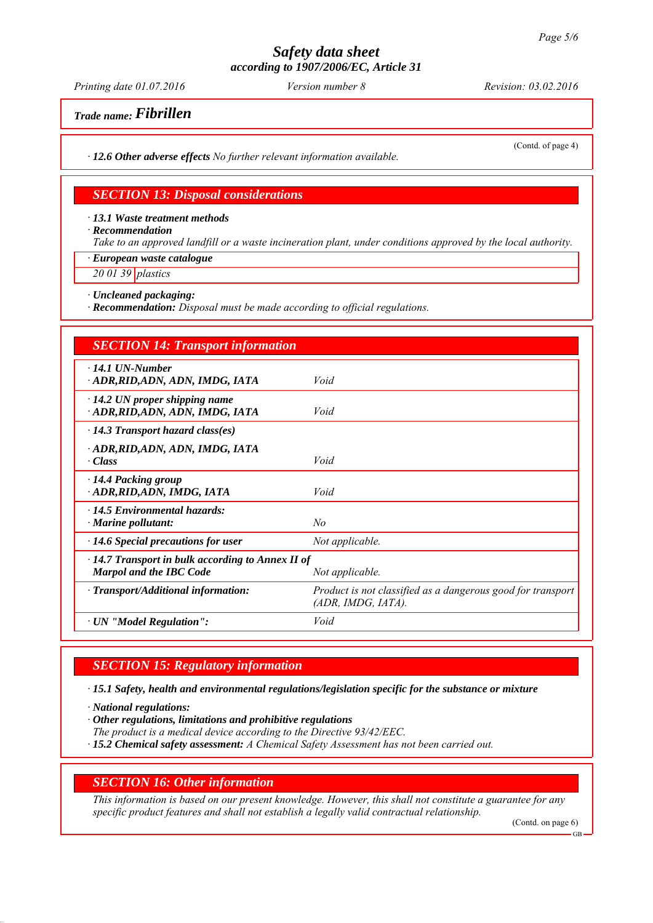*Printing date 01.07.2016 Revision: 03.02.2016 Version number 8*

(Contd. of page 4)

*Trade name: Fibrillen*

*∙ 12.6 Other adverse effects No further relevant information available.*

#### *SECTION 13: Disposal considerations*

*∙ 13.1 Waste treatment methods*

*∙ Recommendation*

*Take to an approved landfill or a waste incineration plant, under conditions approved by the local authority.*

*∙ European waste catalogue*

*20 01 39 plastics*

*∙ Uncleaned packaging:*

*∙ Recommendation: Disposal must be made according to official regulations.*

| <b>SECTION 14: Transport information</b>                                                  |                                                                                   |
|-------------------------------------------------------------------------------------------|-----------------------------------------------------------------------------------|
| $\cdot$ 14.1 UN-Number<br>ADR, RID, ADN, ADN, IMDG, IATA                                  | Void                                                                              |
| $\cdot$ 14.2 UN proper shipping name<br>ADR, RID, ADN, ADN, IMDG, IATA                    | Void                                                                              |
| $\cdot$ 14.3 Transport hazard class(es)                                                   |                                                                                   |
| · ADR, RID, ADN, ADN, IMDG, IATA<br>· Class                                               | Void                                                                              |
| $\cdot$ 14.4 Packing group<br>· ADR, RID, ADN, IMDG, IATA                                 | Void                                                                              |
| $\cdot$ 14.5 Environmental hazards:<br>$\cdot$ Marine pollutant:                          | No                                                                                |
| $\cdot$ 14.6 Special precautions for user                                                 | Not applicable.                                                                   |
| $\cdot$ 14.7 Transport in bulk according to Annex II of<br><b>Marpol and the IBC Code</b> | Not applicable.                                                                   |
| $\cdot$ Transport/Additional information:                                                 | Product is not classified as a dangerous good for transport<br>(ADR, IMDG, IATA). |
| · UN "Model Regulation":                                                                  | Void                                                                              |

## *SECTION 15: Regulatory information*

*∙ 15.1 Safety, health and environmental regulations/legislation specific for the substance or mixture*

*∙ National regulations:*

*∙ Other regulations, limitations and prohibitive regulations*

*The product is a medical device according to the Directive 93/42/EEC.*

*∙ 15.2 Chemical safety assessment: A Chemical Safety Assessment has not been carried out.*

#### *SECTION 16: Other information*

*This information is based on our present knowledge. However, this shall not constitute a guarantee for any specific product features and shall not establish a legally valid contractual relationship.*

(Contd. on page 6)

GB